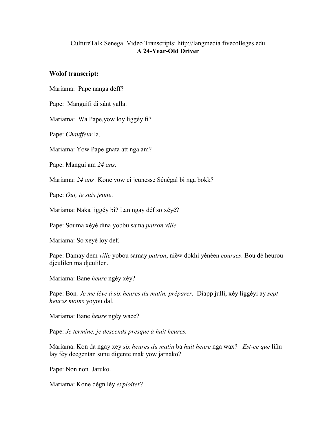## CultureTalk Senegal Video Transcripts: http://langmedia.fivecolleges.edu A 24-Year-Old Driver

## Wolof transcript:

Mariama: Pape nanga déff?

Pape: Manguifi di sánt yalla.

Mariama: Wa Pape,yow loy liggéy fi?

Pape: Chauffeur la.

Mariama: Yow Pape gnata att nga am?

Pape: Mangui am 24 ans.

Mariama: 24 ans! Kone yow ci jeunesse Sénégal bi nga bokk?

Pape: Oui, je suis jeune.

Mariama: Naka liggéy bi? Lan ngay déf so xéyé?

Pape: Souma xéyé dina yobbu sama *patron ville*.

Mariama: So xeyé loy def.

Pape: Damay dem ville yobou samay patron, niëw dokhi yénèen courses. Bou dé heurou djeulilen ma djeulilen.

Mariama: Bane heure ngéy xèy?

Pape: Bon, Je me lève à six heures du matin, préparer. Diapp julli, xéy liggéyi ay sept heures moins yoyou dal.

Mariama: Bane heure ngéy wacc?

Pape: Je termine, je descends presque à huit heures.

Mariama: Kon da ngay xey six heures du matin ba huit heure nga wax? Est-ce que liñu lay fèy deegentan sunu digente mak yow jarnako?

Pape: Non non Jaruko.

Mariama: Kone dègn lèy exploiter?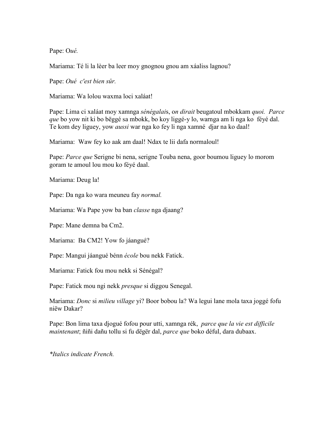Pape: Oué.

Mariama: Té li la lèer ba leer moy gnognou gnou am xáaliss lagnou?

Pape: Oué c'est bien sûr.

Mariama: Wa lolou waxma loci xaláat!

Pape: Lima ci xaláat moy xamnga sénégalais, on dirait beugatoul mbokkam quoi. Parce que bo yow nit ki bo bëggé sa mbokk, bo koy liggé-y lo, warnga am li nga ko féyé dal. Te kom dey liguey, yow *aussi* war nga ko fey li nga xamné djar na ko daal!

Mariama: Waw fey ko aak am daal! Ndax te lii dafa normaloul!

Pape: *Parce que* Serigne bi nena, serigne Touba nena, goor boumou liguey lo morom goram te amoul lou mou ko féyé daal.

Mariama: Deug la!

Pape: Da nga ko wara meuneu fay *normal*.

Mariama: Wa Pape yow ba ban *classe* nga djaang?

Pape: Mane demna ba Cm2.

Mariama: Ba CM2! Yow fo jáangué?

Pape: Mangui jáangué bénn école bou nekk Fatick.

Mariama: Fatick fou mou nekk si Sénégal?

Pape: Fatick mou ngi nekk *presque* si diggou Senegal.

Mariama: Donc si milieu village yi? Boor bobou la? Wa legui lane mola taxa joggé fofu niëw Dakar?

Pape: Bon lima taxa djogué fofou pour utti, xamnga rék, *parce que la vie est difficile* maintenant; ñiñi dañu tollu si fu dëgër dal, parce que boko déful, dara dubaax.

\*Italics indicate French.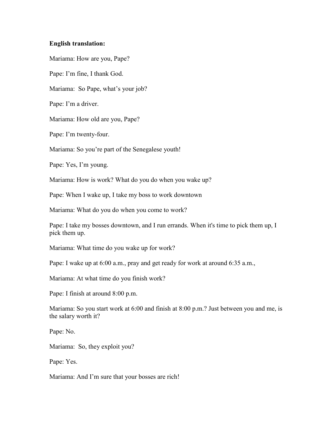## English translation:

Mariama: How are you, Pape?

Pape: I'm fine, I thank God.

Mariama: So Pape, what's your job?

Pape: I'm a driver.

Mariama: How old are you, Pape?

Pape: I'm twenty-four.

Mariama: So you're part of the Senegalese youth!

Pape: Yes, I'm young.

Mariama: How is work? What do you do when you wake up?

Pape: When I wake up, I take my boss to work downtown

Mariama: What do you do when you come to work?

Pape: I take my bosses downtown, and I run errands. When it's time to pick them up, I pick them up.

Mariama: What time do you wake up for work?

Pape: I wake up at 6:00 a.m., pray and get ready for work at around 6:35 a.m.,

Mariama: At what time do you finish work?

Pape: I finish at around 8:00 p.m.

Mariama: So you start work at 6:00 and finish at 8:00 p.m.? Just between you and me, is the salary worth it?

Pape: No.

Mariama: So, they exploit you?

Pape: Yes.

Mariama: And I'm sure that your bosses are rich!